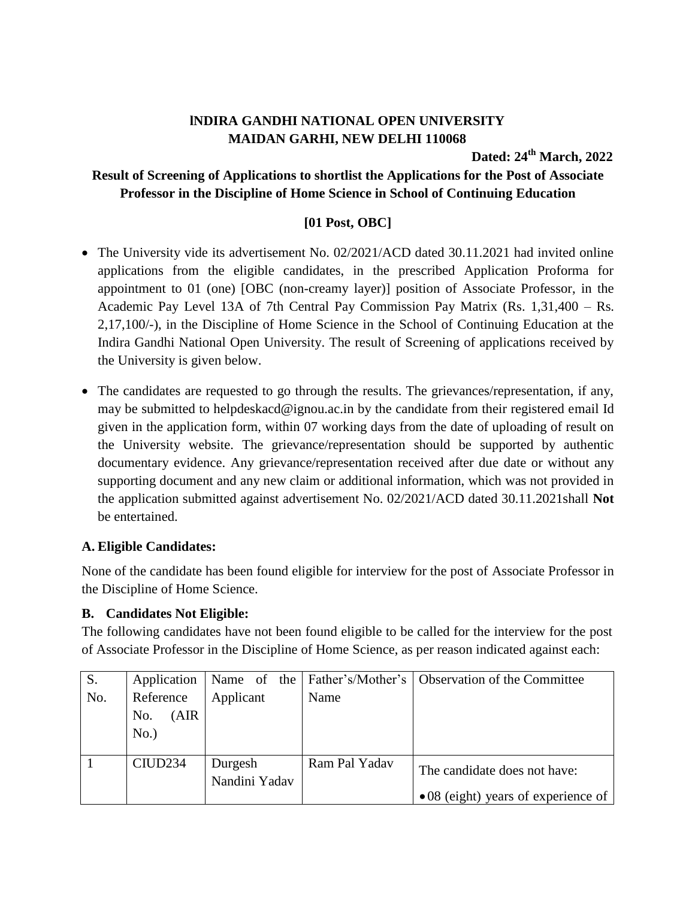# **lNDIRA GANDHI NATIONAL OPEN UNIVERSITY MAIDAN GARHI, NEW DELHI 110068**

**Dated: 24 th March, 2022**

## **Result of Screening of Applications to shortlist the Applications for the Post of Associate Professor in the Discipline of Home Science in School of Continuing Education**

### **[01 Post, OBC]**

- The University vide its advertisement No. 02/2021/ACD dated 30.11.2021 had invited online applications from the eligible candidates, in the prescribed Application Proforma for appointment to 01 (one) [OBC (non-creamy layer)] position of Associate Professor, in the Academic Pay Level 13A of 7th Central Pay Commission Pay Matrix (Rs. 1,31,400 – Rs. 2,17,100/-), in the Discipline of Home Science in the School of Continuing Education at the Indira Gandhi National Open University. The result of Screening of applications received by the University is given below.
- The candidates are requested to go through the results. The grievances/representation, if any, may be submitted to helpdeskacd@ignou.ac.in by the candidate from their registered email Id given in the application form, within 07 working days from the date of uploading of result on the University website. The grievance/representation should be supported by authentic documentary evidence. Any grievance/representation received after due date or without any supporting document and any new claim or additional information, which was not provided in the application submitted against advertisement No. 02/2021/ACD dated 30.11.2021shall **Not** be entertained.

#### **A. Eligible Candidates:**

None of the candidate has been found eligible for interview for the post of Associate Professor in the Discipline of Home Science.

#### **B. Candidates Not Eligible:**

The following candidates have not been found eligible to be called for the interview for the post of Associate Professor in the Discipline of Home Science, as per reason indicated against each:

| S.  | Application                          |               |               | Name of the   Father's/Mother's   Observation of the Committee |
|-----|--------------------------------------|---------------|---------------|----------------------------------------------------------------|
| No. | Reference<br>(AIR)<br>No.<br>$No.$ ) | Applicant     | Name          |                                                                |
|     | CIUD <sub>234</sub>                  | Durgesh       | Ram Pal Yadav |                                                                |
|     |                                      | Nandini Yadav |               | The candidate does not have:                                   |
|     |                                      |               |               | $\bullet$ 08 (eight) years of experience of                    |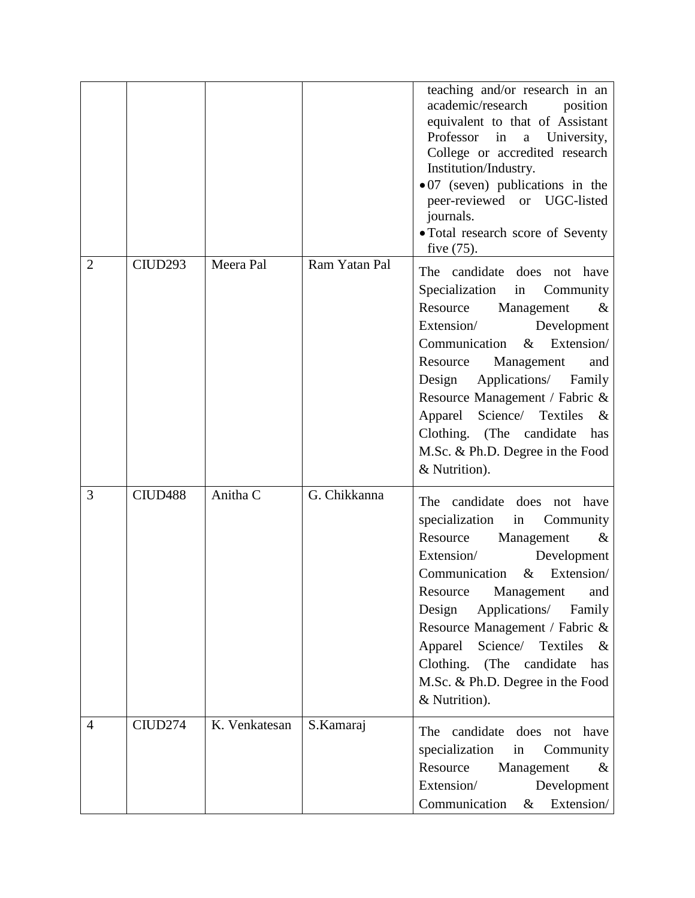|                |                     |               |               | teaching and/or research in an<br>academic/research<br>position<br>equivalent to that of Assistant<br>Professor<br>in<br>University,<br>$\mathbf{a}$<br>College or accredited research<br>Institution/Industry.<br>$\bullet$ 07 (seven) publications in the<br>peer-reviewed or UGC-listed<br>journals.<br>• Total research score of Seventy<br>five $(75)$ .                                                  |
|----------------|---------------------|---------------|---------------|----------------------------------------------------------------------------------------------------------------------------------------------------------------------------------------------------------------------------------------------------------------------------------------------------------------------------------------------------------------------------------------------------------------|
| $\overline{2}$ | CIUD <sub>293</sub> | Meera Pal     | Ram Yatan Pal | The candidate does not have<br>Specialization in Community<br>Resource Management<br>$\&$<br>Extension/<br>Development<br>Communication<br>Extension/<br>$\&$<br>Management<br>Resource<br>and<br>Applications/ Family<br>Design<br>Resource Management / Fabric &<br>Apparel Science/ Textiles<br>$\&$<br>Clothing. (The candidate<br>has<br>M.Sc. & Ph.D. Degree in the Food<br>& Nutrition).                |
| 3              | CIUD <sub>488</sub> | Anitha C      | G. Chikkanna  | The candidate does not have<br>specialization<br>in<br>Community<br>Resource<br>Management<br>$\&$<br>Extension/<br>Development<br>Extension/<br>Communication $\&$<br>Resource<br>Management<br>and<br>Applications/<br>Design<br>Family<br>Resource Management / Fabric &<br>Science/<br>Textiles<br>Apparel<br>$\&$<br>Clothing. (The candidate<br>has<br>M.Sc. & Ph.D. Degree in the Food<br>& Nutrition). |
| $\overline{4}$ | CIUD274             | K. Venkatesan | S.Kamaraj     | The candidate does not have<br>specialization<br>in<br>Community<br>Resource<br>Management<br>&<br>Extension/<br>Development<br>Extension/<br>Communication<br>&                                                                                                                                                                                                                                               |